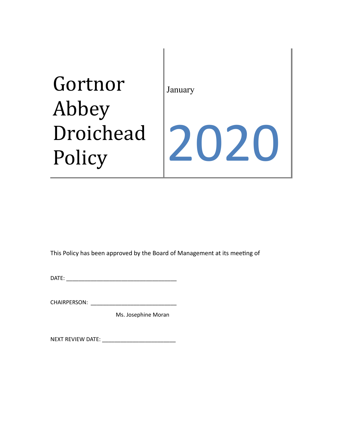# Gortnor Abbey Droichead Policy January 2020

This Policy has been approved by the Board of Management at its meeting of

DATE: \_\_\_\_\_\_\_\_\_\_\_\_\_\_\_\_\_\_\_\_\_\_\_\_\_\_\_\_\_\_\_\_\_\_\_\_

CHAIRPERSON: \_\_\_\_\_\_\_\_\_\_\_\_\_\_\_\_\_\_\_\_\_\_\_\_\_\_\_\_

Ms. Josephine Moran

NEXT REVIEW DATE: \_\_\_\_\_\_\_\_\_\_\_\_\_\_\_\_\_\_\_\_\_\_\_\_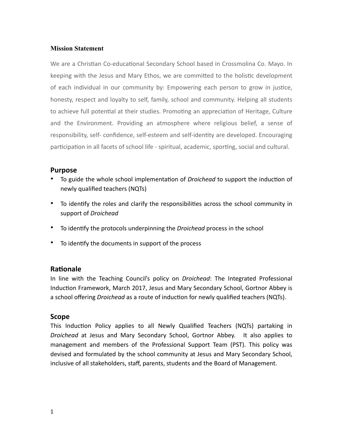#### **Mission Statement**

We are a Christian Co-educational Secondary School based in Crossmolina Co. Mayo. In keeping with the Jesus and Mary Ethos, we are committed to the holistic development of each individual in our community by: Empowering each person to grow in justice, honesty, respect and loyalty to self, family, school and community. Helping all students to achieve full potential at their studies. Promoting an appreciation of Heritage, Culture and the Environment. Providing an atmosphere where religious belief, a sense of responsibility, self- confidence, self-esteem and self-identity are developed. Encouraging participation in all facets of school life - spiritual, academic, sporting, social and cultural.

#### **Purpose**

- To guide the whole school implementation of *Droichead* to support the induction of newly qualified teachers (NQTs)
- To identify the roles and clarify the responsibilities across the school community in support of *Droichead*
- To iden9fy the protocols underpinning the *Droichead* process in the school
- To identify the documents in support of the process

#### **Rationale**

In line with the Teaching Council's policy on *Droichead*: The Integrated Professional Induction Framework, March 2017, Jesus and Mary Secondary School, Gortnor Abbey is a school offering *Droichead* as a route of induction for newly qualified teachers (NQTs).

#### **Scope**

This Induction Policy applies to all Newly Qualified Teachers (NQTs) partaking in *Droichead* at Jesus and Mary Secondary School, Gortnor Abbey. It also applies to management and members of the Professional Support Team (PST). This policy was devised and formulated by the school community at Jesus and Mary Secondary School, inclusive of all stakeholders, staff, parents, students and the Board of Management.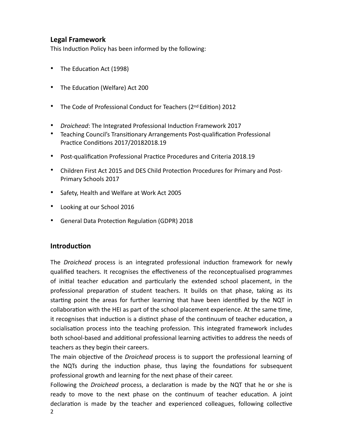# **Legal Framework**

This Induction Policy has been informed by the following:

- The Education Act (1998)
- The Education (Welfare) Act 200
- The Code of Professional Conduct for Teachers (2nd Edition) 2012
- *Droichead*: The Integrated Professional Induction Framework 2017
- Teaching Council's Transitionary Arrangements Post-qualification Professional Practice Conditions 2017/20182018.19
- Post-qualification Professional Practice Procedures and Criteria 2018.19
- Children First Act 2015 and DES Child Protection Procedures for Primary and Post-Primary Schools 2017
- Safety, Health and Welfare at Work Act 2005
- Looking at our School 2016
- General Data Protection Regulation (GDPR) 2018

## **Introduction**

The *Droichead* process is an integrated professional induction framework for newly qualified teachers. It recognises the effectiveness of the reconceptualised programmes of initial teacher education and particularly the extended school placement, in the professional preparation of student teachers. It builds on that phase, taking as its starting point the areas for further learning that have been identified by the NQT in collaboration with the HEI as part of the school placement experience. At the same time, it recognises that induction is a distinct phase of the continuum of teacher education, a socialisation process into the teaching profession. This integrated framework includes both school-based and additional professional learning activities to address the needs of teachers as they begin their careers.

The main objective of the *Droichead* process is to support the professional learning of the NQTs during the induction phase, thus laying the foundations for subsequent professional growth and learning for the next phase of their career.

Following the *Droichead* process, a declaration is made by the NQT that he or she is ready to move to the next phase on the continuum of teacher education. A joint declaration is made by the teacher and experienced colleagues, following collective 2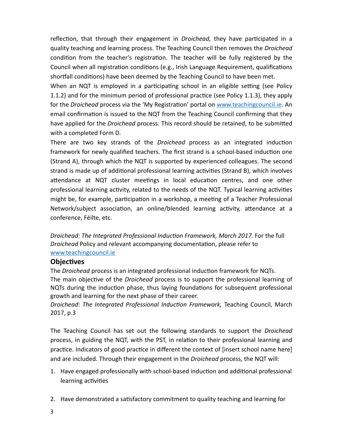reflection, that through their engagement in *Droichead*, they have participated in a quality teaching and learning process. The Teaching Council then removes the *Droichead*  condition from the teacher's registration. The teacher will be fully registered by the Council when all registration conditions (e.g., Irish Language Requirement, qualifications shortfall conditions) have been deemed by the Teaching Council to have been met.

When an NQT is employed in a participating school in an eligible setting (see Policy 1.1.2) and for the minimum period of professional practice (see Policy 1.1.3), they apply for the *Droichead* process via the 'My Registration' portal on [www.teachingcouncil.ie.](http://www.teachingcouncil.ie) An email confirmation is issued to the NQT from the Teaching Council confirming that they have applied for the *Droichead* process. This record should be retained, to be submitted with a completed Form D.

There are two key strands of the *Droichead* process as an integrated induction framework for newly qualified teachers. The first strand is a school-based induction one (Strand A), through which the NQT is supported by experienced colleagues. The second strand is made up of additional professional learning activities (Strand B), which involves attendance at NQT cluster meetings in local education centres, and one other professional learning activity, related to the needs of the NQT. Typical learning activities might be, for example, participation in a workshop, a meeting of a Teacher Professional Network/subject association, an online/blended learning activity, attendance at a conference, Féilte, etc.

*Droichead: The Integrated Professional Induction Framework, March 2017. For the full Droichead* Policy and relevant accompanying documentation, please refer to [www.teachingcouncil.ie](http://www.teachingcouncil.ie)

#### **Objectives**

The *Droichead* process is an integrated professional induction framework for NQTs. The main objective of the *Droichead* process is to support the professional learning of NQTs during the induction phase, thus laying foundations for subsequent professional growth and learning for the next phase of their career.

**Droichead: The Integrated Professional Induction Framework, Teaching Council, March** 2017, p.3

The Teaching Council has set out the following standards to support the *Droichead*  process, in guiding the NQT, with the PST, in relation to their professional learning and practice. Indicators of good practice in different the context of [insert school name here] and are included. Through their engagement in the *Droichead* process, the NQT will:

- 1. Have engaged professionally with school-based induction and additional professional learning activities
- 2. Have demonstrated a satisfactory commitment to quality teaching and learning for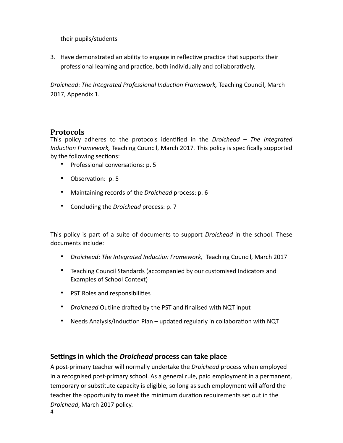their pupils/students

3. Have demonstrated an ability to engage in reflective practice that supports their professional learning and practice, both individually and collaboratively.

*Droichead: The Integrated Professional Induction Framework, Teaching Council, March* 2017, Appendix 1.

# **Protocols**

This policy adheres to the protocols identified in the *Droichead – The Integrated* Induction Framework, Teaching Council, March 2017. This policy is specifically supported by the following sections:

- Professional conversations: p. 5
- Observation: p. 5
- Maintaining records of the *Droichead* process: p. 6
- Concluding the *Droichead* process: p. 7

This policy is part of a suite of documents to support *Droichead* in the school. These documents include:

- *Droichead*: *The Integrated Induc6on Framework,* Teaching Council, March 2017
- Teaching Council Standards (accompanied by our customised Indicators and Examples of School Context)
- PST Roles and responsibilities
- *Droichead* Outline drafted by the PST and finalised with NQT input
- Needs Analysis/Induction Plan updated regularly in collaboration with NQT

## **Settings in which the** *Droichead* **process can take place**

A post-primary teacher will normally undertake the *Droichead* process when employed in a recognised post-primary school. As a general rule, paid employment in a permanent, temporary or substitute capacity is eligible, so long as such employment will afford the teacher the opportunity to meet the minimum duration requirements set out in the *Droichead*, March 2017 policy. 4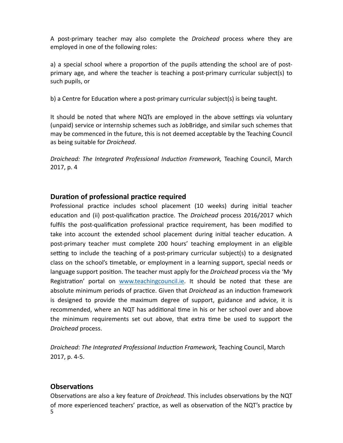A post-primary teacher may also complete the *Droichead* process where they are employed in one of the following roles:

a) a special school where a proportion of the pupils attending the school are of postprimary age, and where the teacher is teaching a post-primary curricular subject(s) to such pupils, or

b) a Centre for Education where a post-primary curricular subject(s) is being taught.

It should be noted that where NQTs are employed in the above settings via voluntary (unpaid) service or internship schemes such as JobBridge, and similar such schemes that may be commenced in the future, this is not deemed acceptable by the Teaching Council as being suitable for *Droichead*.

*Droichead: The Integrated Professional Induction Framework,* Teaching Council, March 2017, p. 4

# **Duration of professional practice required**

Professional practice includes school placement (10 weeks) during initial teacher education and (ii) post-qualification practice. The *Droichead* process 2016/2017 which fulfils the post-qualification professional practice requirement, has been modified to take into account the extended school placement during initial teacher education. A post-primary teacher must complete 200 hours' teaching employment in an eligible setting to include the teaching of a post-primary curricular subject(s) to a designated class on the school's timetable, or employment in a learning support, special needs or language support position. The teacher must apply for the *Droichead* process via the 'My Registration' portal on [www.teachingcouncil.ie.](http://www.teachingcouncil.ie) It should be noted that these are absolute minimum periods of practice. Given that *Droichead* as an induction framework is designed to provide the maximum degree of support, guidance and advice, it is recommended, where an NQT has additional time in his or her school over and above the minimum requirements set out above, that extra time be used to support the *Droichead* process.

**Droichead: The Integrated Professional Induction Framework, Teaching Council, March** 2017, p. 4-5.

# **Observations**

Observations are also a key feature of *Droichead*. This includes observations by the NQT of more experienced teachers' practice, as well as observation of the NQT's practice by 5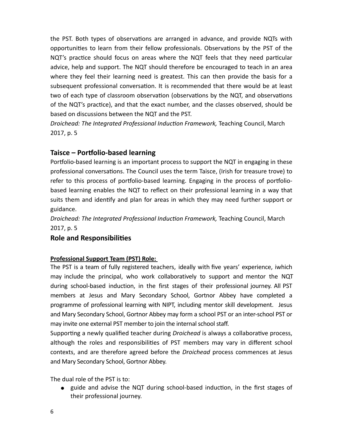the PST. Both types of observations are arranged in advance, and provide NQTs with opportunities to learn from their fellow professionals. Observations by the PST of the NQT's practice should focus on areas where the NQT feels that they need particular advice, help and support. The NQT should therefore be encouraged to teach in an area where they feel their learning need is greatest. This can then provide the basis for a subsequent professional conversation. It is recommended that there would be at least two of each type of classroom observation (observations by the NQT, and observations of the NQT's practice), and that the exact number, and the classes observed, should be based on discussions between the NQT and the PST.

*Droichead: The Integrated Professional Induction Framework, Teaching Council, March* 2017, p. 5

# **Taisce – Portfolio-based learning**

Portfolio-based learning is an important process to support the NQT in engaging in these professional conversations. The Council uses the term Taisce, (Irish for treasure trove) to refer to this process of portfolio-based learning. Engaging in the process of portfoliobased learning enables the NQT to reflect on their professional learning in a way that suits them and identify and plan for areas in which they may need further support or guidance.

*Droichead: The Integrated Professional Induction Framework, Teaching Council, March* 2017, p. 5

## **Role and Responsibilities**

#### **Professional Support Team (PST) Role:**

The PST is a team of fully registered teachers, ideally with five years' experience, iwhich may include the principal, who work collaboratively to support and mentor the NQT during school-based induction, in the first stages of their professional journey. All PST members at Jesus and Mary Secondary School, Gortnor Abbey have completed a programme of professional learning with NIPT, including mentor skill development. Jesus and Mary Secondary School, Gortnor Abbey may form a school PST or an inter-school PST or may invite one external PST member to join the internal school staff.

Supporting a newly qualified teacher during *Droichead* is always a collaborative process, although the roles and responsibilities of PST members may vary in different school contexts, and are therefore agreed before the *Droichead* process commences at Jesus and Mary Secondary School, Gortnor Abbey.

The dual role of the PST is to:

• guide and advise the NQT during school-based induction, in the first stages of their professional journey.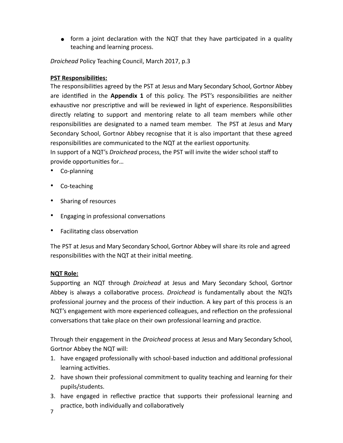• form a joint declaration with the NQT that they have participated in a quality teaching and learning process.

*Droichead* Policy Teaching Council, March 2017, p.3

#### **PST Responsibilities:**

The responsibilities agreed by the PST at Jesus and Mary Secondary School, Gortnor Abbey are identified in the **Appendix 1** of this policy. The PST's responsibilities are neither exhaustive nor prescriptive and will be reviewed in light of experience. Responsibilities directly relating to support and mentoring relate to all team members while other responsibilities are designated to a named team member. The PST at Jesus and Mary Secondary School, Gortnor Abbey recognise that it is also important that these agreed responsibilities are communicated to the NQT at the earliest opportunity.

In support of a NQT's *Droichead* process, the PST will invite the wider school staff to provide opportunities for...

- Co-planning
- Co-teaching
- Sharing of resources
- Engaging in professional conversations
- Facilitating class observation

The PST at Jesus and Mary Secondary School, Gortnor Abbey will share its role and agreed responsibilities with the NQT at their initial meeting.

## **NQT Role:**

Supporting an NQT through *Droichead* at Jesus and Mary Secondary School, Gortnor Abbey is always a collaborative process. *Droichead* is fundamentally about the NQTs professional journey and the process of their induction. A key part of this process is an NQT's engagement with more experienced colleagues, and reflection on the professional conversations that take place on their own professional learning and practice.

Through their engagement in the *Droichead* process at Jesus and Mary Secondary School, Gortnor Abbey the NQT will:

- 1. have engaged professionally with school-based induction and additional professional learning activities.
- 2. have shown their professional commitment to quality teaching and learning for their pupils/students.
- 3. have engaged in reflective practice that supports their professional learning and practice, both individually and collaboratively
- 7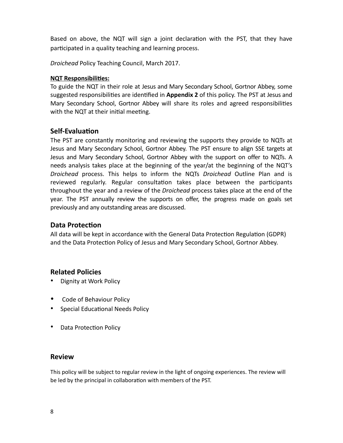Based on above, the NQT will sign a joint declaration with the PST, that they have participated in a quality teaching and learning process.

*Droichead* Policy Teaching Council, March 2017.

### **NQT Responsibilities:**

To guide the NQT in their role at Jesus and Mary Secondary School, Gortnor Abbey, some suggested responsibilities are identified in Appendix 2 of this policy. The PST at Jesus and Mary Secondary School, Gortnor Abbey will share its roles and agreed responsibilities with the NQT at their initial meeting.

# **Self-Evaluation**

The PST are constantly monitoring and reviewing the supports they provide to NQTs at Jesus and Mary Secondary School, Gortnor Abbey. The PST ensure to align SSE targets at Jesus and Mary Secondary School, Gortnor Abbey with the support on offer to NQTs. A needs analysis takes place at the beginning of the year/at the beginning of the NQT's *Droichead* process. This helps to inform the NQTs *Droichead* Outline Plan and is reviewed regularly. Regular consultation takes place between the participants throughout the year and a review of the *Droichead* process takes place at the end of the year. The PST annually review the supports on offer, the progress made on goals set previously and any outstanding areas are discussed.

# **Data Protection**

All data will be kept in accordance with the General Data Protection Regulation (GDPR) and the Data Protection Policy of Jesus and Mary Secondary School, Gortnor Abbey.

# **Related Policies**

- Dignity at Work Policy
- Code of Behaviour Policy
- Special Educational Needs Policy
- Data Protection Policy

## **Review**

This policy will be subject to regular review in the light of ongoing experiences. The review will be led by the principal in collaboration with members of the PST.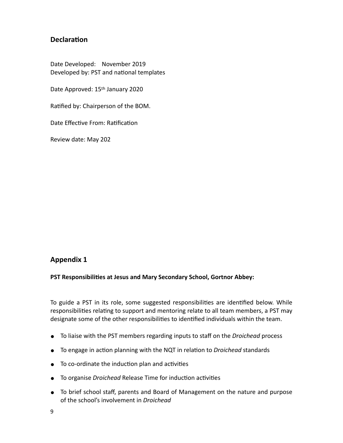# **Declaration**

Date Developed: November 2019 Developed by: PST and national templates

Date Approved: 15th January 2020

Ratified by: Chairperson of the BOM.

Date Effective From: Ratification

Review date: May 202

## **Appendix 1**

#### **PST Responsibilities at Jesus and Mary Secondary School, Gortnor Abbey:**

To guide a PST in its role, some suggested responsibilities are identified below. While responsibilities relating to support and mentoring relate to all team members, a PST may designate some of the other responsibilities to identified individuals within the team.

- To liaise with the PST members regarding inputs to staff on the *Droichead* process
- To engage in action planning with the NQT in relation to *Droichead* standards
- To co-ordinate the induction plan and activities
- **•** To organise *Droichead* Release Time for induction activities
- To brief school staff, parents and Board of Management on the nature and purpose of the school's involvement in *Droichead*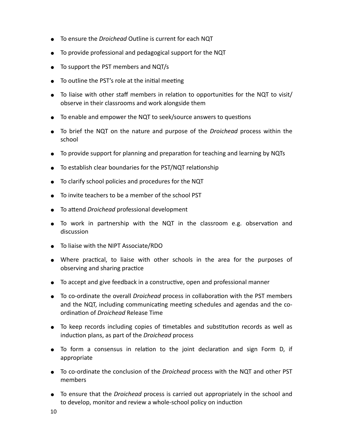- To ensure the *Droichead* Outline is current for each NQT
- To provide professional and pedagogical support for the NQT
- To support the PST members and NQT/s
- $\bullet$  To outline the PST's role at the initial meeting
- $\bullet$  To liaise with other staff members in relation to opportunities for the NQT to visit/ observe in their classrooms and work alongside them
- To enable and empower the NQT to seek/source answers to questions
- To brief the NQT on the nature and purpose of the *Droichead* process within the school
- To provide support for planning and preparation for teaching and learning by NQTs
- To establish clear boundaries for the PST/NQT relationship
- To clarify school policies and procedures for the NQT
- To invite teachers to be a member of the school PST
- To attend *Droichead* professional development
- To work in partnership with the NQT in the classroom e.g. observation and discussion
- To liaise with the NIPT Associate/RDO
- Where practical, to liaise with other schools in the area for the purposes of observing and sharing practice
- To accept and give feedback in a constructive, open and professional manner
- To co-ordinate the overall *Droichead* process in collaboration with the PST members and the NQT, including communicating meeting schedules and agendas and the coordination of *Droichead* Release Time
- $\bullet$  To keep records including copies of timetables and substitution records as well as induction plans, as part of the *Droichead* process
- To form a consensus in relation to the joint declaration and sign Form D, if appropriate
- To co-ordinate the conclusion of the *Droichead* process with the NQT and other PST members
- To ensure that the *Droichead* process is carried out appropriately in the school and to develop, monitor and review a whole-school policy on induction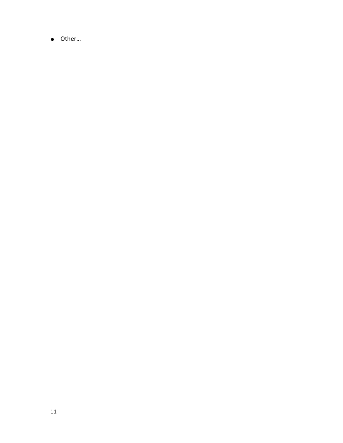● Other…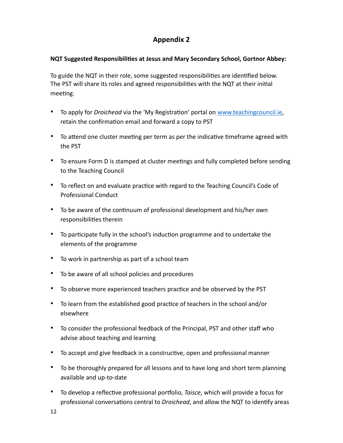# **Appendix 2**

#### **NQT Suggested Responsibilities at Jesus and Mary Secondary School, Gortnor Abbey:**

To guide the NQT in their role, some suggested responsibilities are identified below. The PST will share its roles and agreed responsibilities with the NQT at their initial meeting.

- To apply for *Droichead* via the 'My Registration' portal on [www.teachingcouncil.ie,](http://www.teachingcouncil.ie) retain the confirmation email and forward a copy to PST
- To attend one cluster meeting per term as per the indicative timeframe agreed with the PST
- To ensure Form D is stamped at cluster meetings and fully completed before sending to the Teaching Council
- To reflect on and evaluate practice with regard to the Teaching Council's Code of Professional Conduct
- To be aware of the continuum of professional development and his/her own responsibilities therein
- To participate fully in the school's induction programme and to undertake the elements of the programme
- To work in partnership as part of a school team
- To be aware of all school policies and procedures
- To observe more experienced teachers practice and be observed by the PST
- To learn from the established good practice of teachers in the school and/or elsewhere
- To consider the professional feedback of the Principal, PST and other staff who advise about teaching and learning
- To accept and give feedback in a constructive, open and professional manner
- To be thoroughly prepared for all lessons and to have long and short term planning available and up-to-date
- To develop a reflective professional portfolio, *Taisce*, which will provide a focus for professional conversations central to *Droichead*, and allow the NQT to identify areas